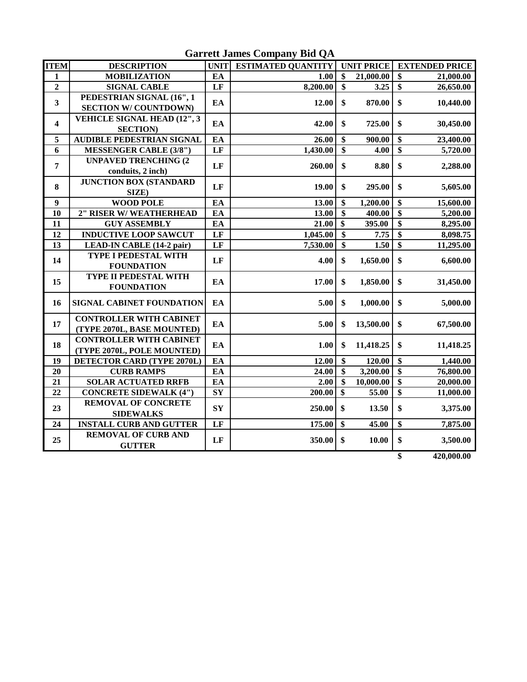| Garren James Company Diu QA |                                    |                  |                           |                         |                   |                                |          |  |  |
|-----------------------------|------------------------------------|------------------|---------------------------|-------------------------|-------------------|--------------------------------|----------|--|--|
| <b>TTEM</b>                 | <b>DESCRIPTION</b>                 | <b>UNIT</b>      | <b>ESTIMATED QUANTITY</b> |                         | <b>UNIT PRICE</b> | <b>EXTENDED PRICE</b>          |          |  |  |
| $\mathbf{1}$                | <b>MOBILIZATION</b>                | EA               | 1.00                      | \$                      | 21,000.00         | $\boldsymbol{\$}$<br>21,000.00 |          |  |  |
| $\overline{2}$              | <b>SIGNAL CABLE</b>                | LF               | 8,200.00                  | $\boldsymbol{\$}$       | 3.25              | $\overline{\$}$<br>26,650.00   |          |  |  |
| $\overline{\mathbf{3}}$     | PEDESTRIAN SIGNAL (16", 1          |                  |                           | \$                      |                   | \$<br>10,440.00                |          |  |  |
|                             | <b>SECTION W/ COUNTDOWN)</b>       | EA               | 12.00                     |                         | 870.00            |                                |          |  |  |
| $\overline{\mathbf{4}}$     | <b>VEHICLE SIGNAL HEAD (12", 3</b> |                  | \$<br>42.00               |                         |                   | $\boldsymbol{\$}$              |          |  |  |
|                             | <b>SECTION</b> )                   | EA               |                           |                         | 725.00            | 30,450.00                      |          |  |  |
| 5                           | <b>AUDIBLE PEDESTRIAN SIGNAL</b>   | EA               | 26.00                     | \$                      | 900.00            | $\overline{\$}$<br>23,400.00   |          |  |  |
| 6                           | <b>MESSENGER CABLE (3/8")</b>      | LF               | 1,430.00                  | $\overline{\$}$         | 4.00              | $\overline{\$}$<br>5,720.00    |          |  |  |
| $\overline{7}$              | <b>UNPAVED TRENCHING (2)</b>       | LF               | 260.00                    | \$                      | 8.80              | \$<br>2,288.00                 |          |  |  |
|                             | conduits, 2 inch)                  |                  |                           |                         |                   |                                |          |  |  |
| 8                           | <b>JUNCTION BOX (STANDARD</b>      | LF               | 19.00                     | \$                      | 295.00            | $\boldsymbol{\$}$              |          |  |  |
|                             | SIZE)                              |                  |                           |                         |                   | 5,605.00                       |          |  |  |
| $\boldsymbol{9}$            | <b>WOOD POLE</b>                   | EA               | 13.00                     | \$                      | 1,200.00          | $\overline{\$}$<br>15,600.00   |          |  |  |
| 10                          | 2" RISER W/ WEATHERHEAD            | EA               | 13.00                     | $\overline{\mathbf{s}}$ | 400.00            | $\overline{\$}$<br>5,200.00    |          |  |  |
| 11                          | <b>GUY ASSEMBLY</b>                | EA               | 21.00                     | \$                      | 395.00            | $\overline{\$}$<br>8,295.00    |          |  |  |
| 12                          | <b>INDUCTIVE LOOP SAWCUT</b>       | LF               | 1,045.00                  | $\overline{\$}$         | 7.75              | $\overline{\$}$<br>8,098.75    |          |  |  |
| 13                          | <b>LEAD-IN CABLE (14-2 pair)</b>   | LF               | 7,530.00                  | $\overline{\$}$         | 1.50              | $\overline{\$}$<br>11,295.00   |          |  |  |
|                             | <b>TYPE I PEDESTAL WITH</b>        |                  | 4.00                      |                         | 1,650.00          |                                |          |  |  |
| 14                          | <b>FOUNDATION</b>                  | LF               |                           | \$                      |                   | $\boldsymbol{\$}$<br>6,600.00  |          |  |  |
|                             | <b>TYPE II PEDESTAL WITH</b>       |                  |                           |                         | 1,850.00          |                                |          |  |  |
| 15                          | <b>FOUNDATION</b>                  | EA               | 17.00                     | \$                      |                   | \$<br>31,450.00                |          |  |  |
|                             |                                    | EA               |                           | \$                      |                   |                                |          |  |  |
| 16                          | <b>SIGNAL CABINET FOUNDATION</b>   |                  | 5.00                      |                         | 1,000.00          | \$<br>5,000.00                 |          |  |  |
|                             | <b>CONTROLLER WITH CABINET</b>     |                  |                           |                         |                   |                                |          |  |  |
| 17                          | (TYPE 2070L, BASE MOUNTED)         | EA               | 5.00                      | \$                      | 13,500.00         | \$<br>67,500.00                |          |  |  |
|                             | <b>CONTROLLER WITH CABINET</b>     |                  |                           |                         |                   |                                |          |  |  |
| 18                          | (TYPE 2070L, POLE MOUNTED)         | EA               | 1.00                      | \$                      | 11,418.25         | \$<br>11,418.25                |          |  |  |
| 19                          | <b>DETECTOR CARD (TYPE 2070L)</b>  | EA               | 12.00                     | \$                      | 120.00            | $\overline{\$}$<br>1,440.00    |          |  |  |
| 20                          | <b>CURB RAMPS</b>                  | EA               | 24.00                     | \$                      | 3,200.00          | $\overline{\$}$<br>76,800.00   |          |  |  |
| 21                          | <b>SOLAR ACTUATED RRFB</b>         | EA               | 2.00                      | \$                      | 10,000.00         | $\overline{\$}$<br>20,000.00   |          |  |  |
| 22                          | <b>CONCRETE SIDEWALK (4")</b>      | ${\bf S}{\bf Y}$ | 200.00                    | $\overline{\$}$         | 55.00             | $\overline{\$}$<br>11,000.00   |          |  |  |
| 23                          | <b>REMOVAL OF CONCRETE</b>         |                  |                           |                         |                   | \$                             |          |  |  |
|                             | <b>SIDEWALKS</b>                   | <b>SY</b>        |                           | 250.00                  | \$                | 13.50                          | 3,375.00 |  |  |
| 24                          | <b>INSTALL CURB AND GUTTER</b>     | LF               | 175.00                    | \$                      | 45.00             | $\overline{\$}$<br>7,875.00    |          |  |  |
|                             | <b>REMOVAL OF CURB AND</b>         |                  |                           |                         |                   |                                |          |  |  |
| 25                          | <b>GUTTER</b>                      | LF               | 350.00                    | \$                      | 10.00             | \$<br>3,500.00                 |          |  |  |

**Garrett James Company Bid QA**

**\$ 420,000.00**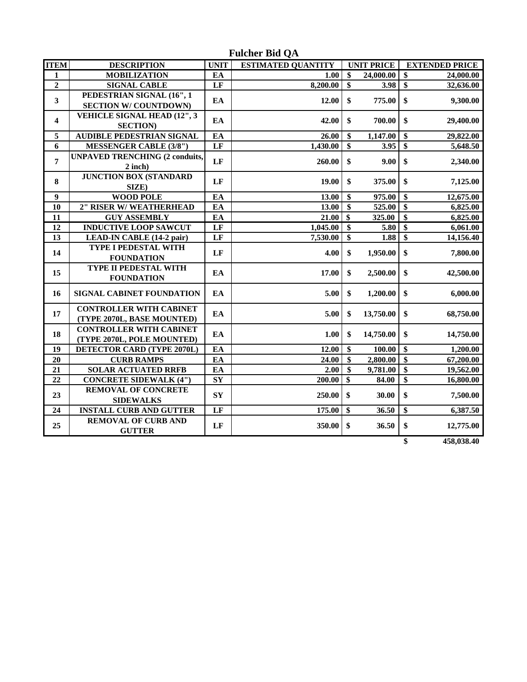| <b>TTEM</b>             | <b>DESCRIPTION</b>                                           | <b>UNIT</b> | <b>ESTIMATED QUANTITY</b> |                 | <b>UNIT PRICE</b> | <b>EXTENDED PRICE</b>          |
|-------------------------|--------------------------------------------------------------|-------------|---------------------------|-----------------|-------------------|--------------------------------|
| $\mathbf{1}$            | <b>MOBILIZATION</b>                                          | EA          | 1.00                      | \$              | 24,000.00         | \$<br>24,000.00                |
| $\overline{2}$          | <b>SIGNAL CABLE</b>                                          | LF          | 8,200.00                  | \$              | 3.98              | \$<br>32,636.00                |
| $\overline{\mathbf{3}}$ | PEDESTRIAN SIGNAL (16", 1<br><b>SECTION W/ COUNTDOWN)</b>    | EA          | 12.00                     | \$              | 775.00            | \$<br>9,300.00                 |
| $\overline{\mathbf{4}}$ | <b>VEHICLE SIGNAL HEAD (12", 3)</b><br><b>SECTION</b> )      | EA          | 42.00                     | \$              | 700.00            | \$<br>29,400.00                |
| $\sqrt{5}$              | <b>AUDIBLE PEDESTRIAN SIGNAL</b>                             | EA          | 26.00                     | \$              | 1,147.00          | \$<br>29,822.00                |
| 6                       | <b>MESSENGER CABLE (3/8")</b>                                | LF          | 1,430.00                  | \$              | 3.95              | $\boldsymbol{\$}$<br>5,648.50  |
| $\overline{7}$          | <b>UNPAVED TRENCHING (2 conduits,</b><br>$2$ inch)           | LF          | 260.00                    | \$              | 9.00              | \$<br>2,340.00                 |
| 8                       | <b>JUNCTION BOX (STANDARD</b><br>SIZE)                       | LF          | 19.00                     | \$              | 375.00            | \$<br>7,125.00                 |
| $\boldsymbol{9}$        | <b>WOOD POLE</b>                                             | EA          | 13.00                     | \$              | 975.00            | \$<br>12,675.00                |
| 10                      | 2" RISER W/ WEATHERHEAD                                      | EA          | 13.00                     | \$              | 525.00            | \$<br>6,825.00                 |
| 11                      | <b>GUY ASSEMBLY</b>                                          | EA          | 21.00                     | \$              | 325.00            | \$<br>6,825.00                 |
| 12                      | <b>INDUCTIVE LOOP SAWCUT</b>                                 | LF          | 1,045.00                  | \$              | 5.80              | \$<br>6,061.00                 |
| 13                      | <b>LEAD-IN CABLE (14-2 pair)</b>                             | LF          | 7,530.00                  | \$              | 1.88              | \$<br>14,156.40                |
| 14                      | <b>TYPE I PEDESTAL WITH</b><br><b>FOUNDATION</b>             | LF          | 4.00                      | \$              | 1,950.00          | \$<br>7,800.00                 |
| 15                      | <b>TYPE II PEDESTAL WITH</b><br><b>FOUNDATION</b>            | EA          | 17.00                     | \$              | 2,500.00          | $\boldsymbol{\$}$<br>42,500.00 |
| 16                      | <b>SIGNAL CABINET FOUNDATION</b>                             | EA          | 5.00                      | \$              | 1,200.00          | \$<br>6,000.00                 |
| 17                      | <b>CONTROLLER WITH CABINET</b><br>(TYPE 2070L, BASE MOUNTED) | EA          | 5.00                      | \$              | 13,750.00         | \$<br>68,750.00                |
| 18                      | <b>CONTROLLER WITH CABINET</b><br>(TYPE 2070L, POLE MOUNTED) | EA          | 1.00                      | \$              | 14,750.00         | \$<br>14,750.00                |
| 19                      | <b>DETECTOR CARD (TYPE 2070L)</b>                            | EA          | 12.00                     | \$              | 100.00            | \$<br>1,200.00                 |
| 20                      | <b>CURB RAMPS</b>                                            | EA          | 24.00                     | \$              | 2,800.00          | $\overline{\$}$<br>67,200.00   |
| 21                      | <b>SOLAR ACTUATED RRFB</b>                                   | EA          | 2.00                      | \$              | 9,781.00          | $\overline{\$}$<br>19,562.00   |
| 22                      | <b>CONCRETE SIDEWALK (4")</b>                                | ${\bf SY}$  | 200.00                    | $\overline{\$}$ | 84.00             | \$<br>16,800.00                |
| 23                      | <b>REMOVAL OF CONCRETE</b><br><b>SIDEWALKS</b>               | SY          | 250.00                    | \$              | 30.00             | \$<br>7,500.00                 |
| 24                      | <b>INSTALL CURB AND GUTTER</b>                               | LF          | 175.00                    | \$              | 36.50             | \$<br>6,387.50                 |
| 25                      | <b>REMOVAL OF CURB AND</b><br><b>GUTTER</b>                  | LF          | 350.00                    | \$              | 36.50             | $\boldsymbol{\$}$<br>12,775.00 |

**Fulcher Bid QA**

**\$ 458,038.40**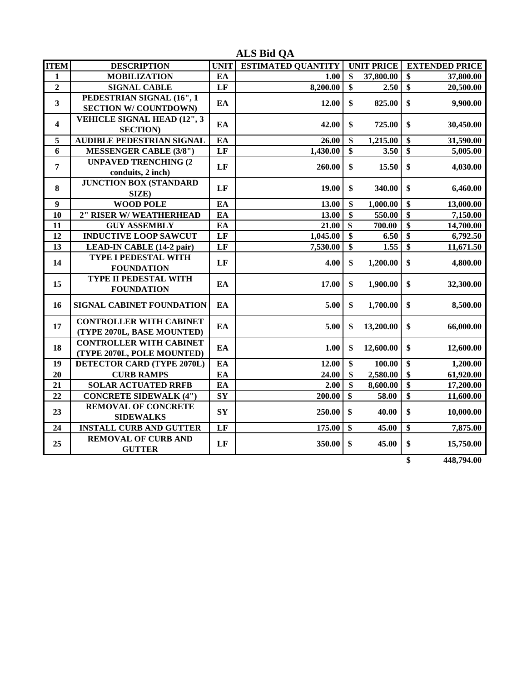| <b>TTEM</b>      | <b>DESCRIPTION</b>                                           | <b>UNIT</b>      | <b>ESTIMATED QUANTITY</b> | <b>UNIT PRICE</b> | <b>EXTENDED PRICE</b>               |
|------------------|--------------------------------------------------------------|------------------|---------------------------|-------------------|-------------------------------------|
| $\mathbf{1}$     | <b>MOBILIZATION</b>                                          | EA               | 1.00                      | \$<br>37,800.00   | \$<br>37,800.00                     |
| $\boldsymbol{2}$ | <b>SIGNAL CABLE</b>                                          | LF               | 8,200.00                  | \$<br>2.50        | \$<br>20,500.00                     |
| $\mathbf{3}$     | PEDESTRIAN SIGNAL (16", 1<br><b>SECTION W/ COUNTDOWN)</b>    | EA               | 12.00                     | \$<br>825.00      | \$<br>9,900.00                      |
| 4                | <b>VEHICLE SIGNAL HEAD (12", 3</b><br><b>SECTION</b> )       | EA               | 42.00                     | \$<br>725.00      | \$<br>30,450.00                     |
| 5                | <b>AUDIBLE PEDESTRIAN SIGNAL</b>                             | EA               | 26.00                     | \$<br>1,215.00    | \$<br>31,590.00                     |
| 6                | <b>MESSENGER CABLE (3/8")</b>                                | LF               | 1,430.00                  | \$<br>3.50        | \$<br>5,005.00                      |
| $\overline{7}$   | <b>UNPAVED TRENCHING (2</b><br>conduits, 2 inch)             | LF               | 260.00                    | \$<br>15.50       | $\boldsymbol{\$}$<br>4,030.00       |
| 8                | <b>JUNCTION BOX (STANDARD</b><br>SIZE)                       | LF               | 19.00                     | \$<br>340.00      | \$<br>6,460.00                      |
| $\boldsymbol{9}$ | <b>WOOD POLE</b>                                             | EA               | 13.00                     | \$<br>1,000.00    | \$<br>13,000.00                     |
| 10               | 2" RISER W/ WEATHERHEAD                                      | EA               | 13.00                     | \$<br>550.00      | \$<br>7,150.00                      |
| 11               | <b>GUY ASSEMBLY</b>                                          | EA               | 21.00                     | \$<br>700.00      | \$<br>14,700.00                     |
| 12               | <b>INDUCTIVE LOOP SAWCUT</b>                                 | LF               | 1,045.00                  | \$<br>6.50        | $\overline{\mathbf{S}}$<br>6,792.50 |
| 13               | <b>LEAD-IN CABLE (14-2 pair)</b>                             | LF               | 7,530.00                  | \$<br>1.55        | $\overline{\$}$<br>11,671.50        |
| 14               | TYPE I PEDESTAL WITH<br><b>FOUNDATION</b>                    | LF               | 4.00                      | \$<br>1,200.00    | \$<br>4,800.00                      |
| 15               | <b>TYPE II PEDESTAL WITH</b><br><b>FOUNDATION</b>            | EA               | 17.00                     | \$<br>1,900.00    | \$<br>32,300.00                     |
| 16               | <b>SIGNAL CABINET FOUNDATION</b>                             | EA               | 5.00                      | \$<br>1,700.00    | $\boldsymbol{\$}$<br>8,500.00       |
| 17               | <b>CONTROLLER WITH CABINET</b><br>(TYPE 2070L, BASE MOUNTED) | EA               | 5.00                      | \$<br>13,200.00   | \$<br>66,000.00                     |
| 18               | <b>CONTROLLER WITH CABINET</b><br>(TYPE 2070L, POLE MOUNTED) | EA               | 1.00                      | \$<br>12,600.00   | \$<br>12,600.00                     |
| 19               | <b>DETECTOR CARD (TYPE 2070L)</b>                            | EA               | 12.00                     | \$<br>100.00      | \$<br>1,200.00                      |
| 20               | <b>CURB RAMPS</b>                                            | EA               | 24.00                     | \$<br>2,580.00    | \$<br>61,920.00                     |
| 21               | <b>SOLAR ACTUATED RRFB</b>                                   | EA               | 2.00                      | \$<br>8,600.00    | $\overline{\$}$<br>17,200.00        |
| 22               | <b>CONCRETE SIDEWALK (4")</b>                                | ${\bf S}{\bf Y}$ | 200.00                    | \$<br>58.00       | $\overline{\$}$<br>11,600.00        |
| 23               | <b>REMOVAL OF CONCRETE</b><br><b>SIDEWALKS</b>               | <b>SY</b>        | 250.00                    | \$<br>40.00       | \$<br>10,000.00                     |
| 24               | <b>INSTALL CURB AND GUTTER</b>                               | LF               | 175.00                    | \$<br>45.00       | \$<br>7,875.00                      |
| 25               | <b>REMOVAL OF CURB AND</b><br><b>GUTTER</b>                  | LF               | 350.00                    | \$<br>45.00       | \$<br>15,750.00                     |

**ALS Bid QA**

**\$ 448,794.00**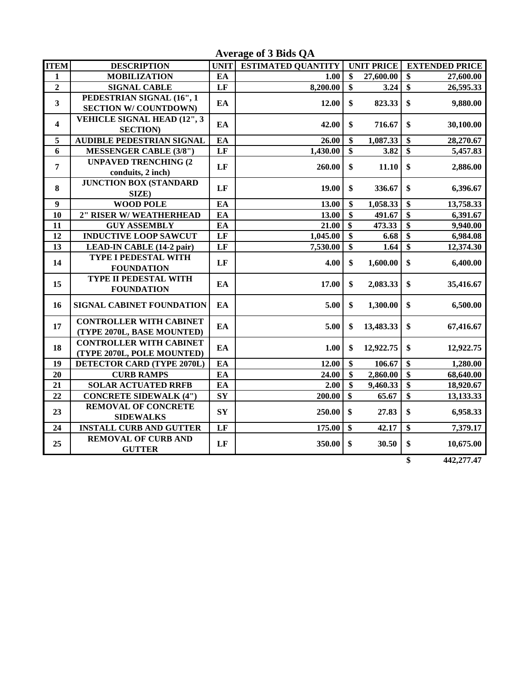**Average of 3 Bids QA**

| <b>TTEM</b>             | <b>DESCRIPTION</b>                                           | <b>UNIT</b> | <b>ESTIMATED QUANTITY</b> |                 | <b>UNIT PRICE</b> | <b>EXTENDED PRICE</b>            |
|-------------------------|--------------------------------------------------------------|-------------|---------------------------|-----------------|-------------------|----------------------------------|
| $\mathbf{1}$            | <b>MOBILIZATION</b>                                          | EA          | 1.00                      | \$              | 27,600.00         | \$<br>27,600.00                  |
| $\boldsymbol{2}$        | <b>SIGNAL CABLE</b>                                          | LF          | 8,200.00                  | \$              | 3.24              | \$<br>26,595.33                  |
| $\mathbf{3}$            | PEDESTRIAN SIGNAL (16", 1<br><b>SECTION W/ COUNTDOWN)</b>    | EA          | 12.00                     | \$              | 823.33            | \$<br>9,880.00                   |
| $\overline{\mathbf{4}}$ | <b>VEHICLE SIGNAL HEAD (12", 3</b><br><b>SECTION</b> )       | EA          | 42.00                     | \$              | 716.67            | \$<br>30,100.00                  |
| 5                       | <b>AUDIBLE PEDESTRIAN SIGNAL</b>                             | EA          | 26.00                     | \$              | 1,087.33          | \$<br>28,270.67                  |
| 6                       | <b>MESSENGER CABLE (3/8")</b>                                | LF          | 1,430.00                  | \$              | 3.82              | \$<br>5,457.83                   |
| $\overline{7}$          | <b>UNPAVED TRENCHING (2)</b><br>conduits, 2 inch)            | LF          | 260.00                    | \$              | 11.10             | \$<br>2,886.00                   |
| 8                       | <b>JUNCTION BOX (STANDARD</b><br>SIZE)                       | LF          | 19.00                     | \$              | 336.67            | \$<br>6,396.67                   |
| $\boldsymbol{9}$        | <b>WOOD POLE</b>                                             | EA          | 13.00                     | \$              | 1,058.33          | \$<br>13,758.33                  |
| 10                      | 2" RISER W/ WEATHERHEAD                                      | EA          | 13.00                     | \$              | 491.67            | \$<br>6,391.67                   |
| 11                      | <b>GUY ASSEMBLY</b>                                          | EA          | 21.00                     | \$              | 473.33            | \$<br>9,940.00                   |
| 12                      | <b>INDUCTIVE LOOP SAWCUT</b>                                 | LF          | 1,045.00                  | $\overline{\$}$ | 6.68              | $\overline{\$}$<br>6,984.08      |
| 13                      | <b>LEAD-IN CABLE (14-2 pair)</b>                             | LF          | 7,530.00                  | \$              | 1.64              | \$<br>12,374.30                  |
| 14                      | <b>TYPE I PEDESTAL WITH</b><br><b>FOUNDATION</b>             | LF          | 4.00                      | \$              | 1,600.00          | \$<br>6,400.00                   |
| 15                      | <b>TYPE II PEDESTAL WITH</b><br><b>FOUNDATION</b>            | EA          | 17.00                     | \$              | 2,083.33          | \$<br>35,416.67                  |
| 16                      | SIGNAL CABINET FOUNDATION                                    | EA          | 5.00                      | \$              | 1,300.00          | \$<br>6,500.00                   |
| 17                      | <b>CONTROLLER WITH CABINET</b><br>(TYPE 2070L, BASE MOUNTED) | EA          | 5.00                      | \$              | 13,483.33         | \$<br>67,416.67                  |
| 18                      | <b>CONTROLLER WITH CABINET</b><br>(TYPE 2070L, POLE MOUNTED) | EA          | 1.00                      | \$              | 12,922.75         | \$<br>12,922.75                  |
| 19                      | DETECTOR CARD (TYPE 2070L)                                   | EA          | 12.00                     | \$              | 106.67            | \$<br>1,280.00                   |
| 20                      | <b>CURB RAMPS</b>                                            | EA          | 24.00                     | \$              | 2,860.00          | \$<br>68,640.00                  |
| 21                      | <b>SOLAR ACTUATED RRFB</b>                                   | EA          | 2.00                      | \$              | 9,460.33          | \$<br>18,920.67                  |
| 22                      | <b>CONCRETE SIDEWALK (4")</b>                                | ${\bf SY}$  | 200.00                    | \$              | 65.67             | \$<br>13,133.33                  |
| 23                      | <b>REMOVAL OF CONCRETE</b><br><b>SIDEWALKS</b>               | <b>SY</b>   | 250.00                    | \$              | 27.83             | \$<br>6,958.33                   |
| 24                      | <b>INSTALL CURB AND GUTTER</b>                               | LF          | 175.00                    | \$              | 42.17             | \$<br>7,379.17                   |
| 25                      | <b>REMOVAL OF CURB AND</b><br><b>GUTTER</b>                  | LF          | 350.00                    | \$              | 30.50             | \$<br>10,675.00                  |
|                         |                                                              |             |                           |                 |                   | $14$ $\Delta$ $\pi$ $\pi$ $1\pi$ |

**\$ 442,277.47**